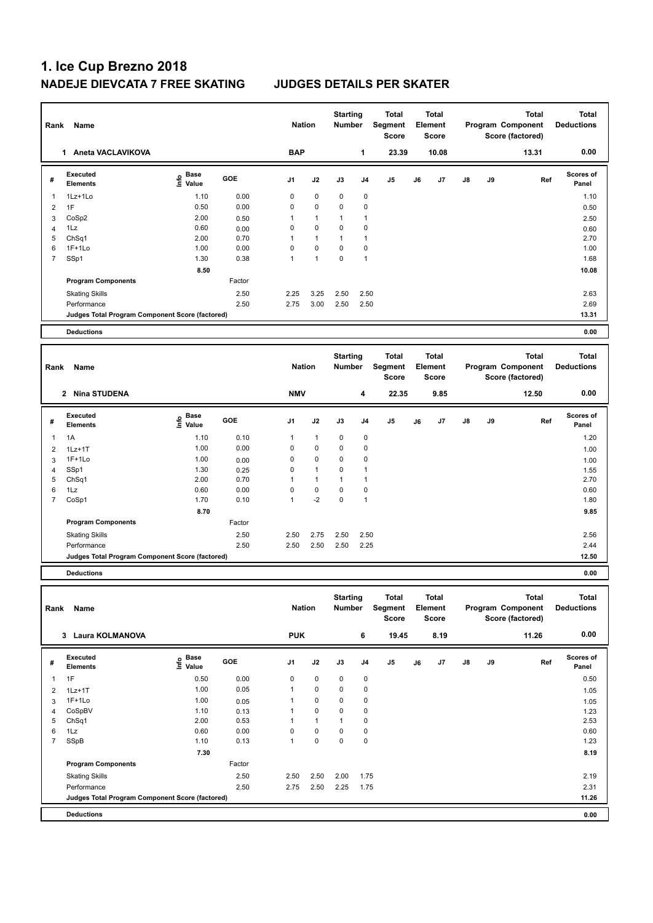| Rank                | Name                                            |                                           |              | <b>Nation</b> |                   | <b>Starting</b><br>Number |              | Total<br>Segment<br><b>Score</b> |    | Total<br>Element<br><b>Score</b> |    |    | <b>Total</b><br>Program Component<br>Score (factored) | <b>Total</b><br><b>Deductions</b> |
|---------------------|-------------------------------------------------|-------------------------------------------|--------------|---------------|-------------------|---------------------------|--------------|----------------------------------|----|----------------------------------|----|----|-------------------------------------------------------|-----------------------------------|
|                     | 1 Aneta VACLAVIKOVA                             |                                           |              | <b>BAP</b>    |                   |                           | $\mathbf{1}$ | 23.39                            |    | 10.08                            |    |    | 13.31                                                 | 0.00                              |
| #                   | <b>Executed</b><br><b>Elements</b>              | $\frac{e}{E}$ Base<br>$\frac{e}{E}$ Value | <b>GOE</b>   | J1            | J2                | J3                        | J4           | J5                               | J6 | J7                               | J8 | J9 | Ref                                                   | <b>Scores of</b><br>Panel         |
| 1                   | 1Lz+1Lo                                         | 1.10                                      | 0.00         | 0             | $\pmb{0}$         | $\mathbf 0$               | 0            |                                  |    |                                  |    |    |                                                       | 1.10                              |
| 2                   | 1F                                              | 0.50                                      | 0.00         | 0             | 0                 | $\mathbf 0$               | 0            |                                  |    |                                  |    |    |                                                       | 0.50                              |
| 3                   | CoSp2                                           | 2.00                                      | 0.50         | $\mathbf{1}$  | $\mathbf{1}$      | $\mathbf{1}$              | 1            |                                  |    |                                  |    |    |                                                       | 2.50                              |
| $\overline{4}$      | 1Lz                                             | 0.60                                      | 0.00         | 0             | 0                 | $\mathbf 0$               | 0            |                                  |    |                                  |    |    |                                                       | 0.60                              |
| 5                   | Ch <sub>Sq1</sub>                               | 2.00                                      | 0.70         | $\mathbf{1}$  | $\mathbf{1}$      | $\mathbf{1}$              | 1            |                                  |    |                                  |    |    |                                                       | 2.70                              |
| 6                   | $1F+1Lo$                                        | 1.00                                      | 0.00         | $\mathbf 0$   | 0                 | $\mathbf 0$               | $\mathbf 0$  |                                  |    |                                  |    |    |                                                       | 1.00                              |
| $\overline{7}$      | SSp1                                            | 1.30                                      | 0.38         | $\mathbf{1}$  | $\mathbf{1}$      | $\mathbf 0$               | 1            |                                  |    |                                  |    |    |                                                       | 1.68                              |
|                     |                                                 | 8.50                                      |              |               |                   |                           |              |                                  |    |                                  |    |    |                                                       | 10.08                             |
|                     | <b>Program Components</b>                       |                                           | Factor       |               |                   |                           |              |                                  |    |                                  |    |    |                                                       |                                   |
|                     | <b>Skating Skills</b>                           |                                           | 2.50         | 2.25          | 3.25              | 2.50                      | 2.50         |                                  |    |                                  |    |    |                                                       | 2.63                              |
|                     | Performance                                     |                                           | 2.50         | 2.75          | 3.00              | 2.50                      | 2.50         |                                  |    |                                  |    |    |                                                       | 2.69                              |
|                     | Judges Total Program Component Score (factored) |                                           |              |               |                   |                           |              |                                  |    |                                  |    |    |                                                       | 13.31                             |
|                     | <b>Deductions</b>                               |                                           |              |               |                   |                           |              |                                  |    |                                  |    |    |                                                       | 0.00                              |
|                     |                                                 |                                           |              |               |                   |                           |              |                                  |    |                                  |    |    |                                                       |                                   |
|                     |                                                 |                                           |              |               |                   | <b>Starting</b>           |              | <b>Total</b>                     |    | Total                            |    |    | <b>Total</b>                                          | <b>Total</b>                      |
| Rank                | Name                                            |                                           |              | <b>Nation</b> |                   | <b>Number</b>             |              | Segment                          |    | Element                          |    |    | Program Component                                     | <b>Deductions</b>                 |
|                     |                                                 |                                           |              |               |                   |                           |              | <b>Score</b>                     |    | <b>Score</b>                     |    |    | Score (factored)                                      |                                   |
|                     | 2 Nina STUDENA                                  |                                           |              | <b>NMV</b>    |                   |                           | 4            | 22.35                            |    | 9.85                             |    |    | 12.50                                                 | 0.00                              |
| #                   | <b>Executed</b><br><b>Elements</b>              | Base<br>e Base<br>E Value                 | GOE          | J1            | J2                | J3                        | J4           | J5                               | J6 | J7                               | J8 | J9 | Ref                                                   | <b>Scores of</b><br>Panel         |
|                     |                                                 |                                           |              |               |                   |                           |              |                                  |    |                                  |    |    |                                                       |                                   |
| $\mathbf{1}$        | 1A                                              | 1.10<br>1.00                              | 0.10<br>0.00 | 1<br>0        | $\mathbf{1}$<br>0 | 0<br>$\mathbf 0$          | 0<br>0       |                                  |    |                                  |    |    |                                                       | 1.20                              |
| $\overline{2}$      | $1Lz+1T$<br>$1F+1Lo$                            |                                           |              | 0             | 0                 | $\mathbf 0$               | 0            |                                  |    |                                  |    |    |                                                       | 1.00                              |
| 3                   | SSp1                                            | 1.00<br>1.30                              | 0.00         | 0             | $\mathbf{1}$      | $\mathbf 0$               | 1            |                                  |    |                                  |    |    |                                                       | 1.00                              |
| $\overline{4}$<br>5 | Ch <sub>Sq1</sub>                               | 2.00                                      | 0.25<br>0.70 | $\mathbf{1}$  | $\mathbf{1}$      | $\mathbf{1}$              | 1            |                                  |    |                                  |    |    |                                                       | 1.55<br>2.70                      |
| 6                   | 1Lz                                             | 0.60                                      | 0.00         | 0             | 0                 | $\mathbf 0$               | 0            |                                  |    |                                  |    |    |                                                       | 0.60                              |
| $\overline{7}$      | CoSp1                                           | 1.70                                      | 0.10         | $\mathbf{1}$  | $-2$              | $\mathbf 0$               | 1            |                                  |    |                                  |    |    |                                                       | 1.80                              |
|                     |                                                 | 8.70                                      |              |               |                   |                           |              |                                  |    |                                  |    |    |                                                       | 9.85                              |
|                     | <b>Program Components</b>                       |                                           | Factor       |               |                   |                           |              |                                  |    |                                  |    |    |                                                       |                                   |
|                     | <b>Skating Skills</b>                           |                                           | 2.50         | 2.50          | 2.75              | 2.50                      | 2.50         |                                  |    |                                  |    |    |                                                       | 2.56                              |
|                     | Performance                                     |                                           | 2.50         | 2.50          | 2.50              | 2.50                      | 2.25         |                                  |    |                                  |    |    |                                                       | 2.44                              |
|                     | Judges Total Program Component Score (factored) |                                           |              |               |                   |                           |              |                                  |    |                                  |    |    |                                                       | 12.50                             |
|                     |                                                 |                                           |              |               |                   |                           |              |                                  |    |                                  |    |    |                                                       |                                   |
|                     | <b>Deductions</b>                               |                                           |              |               |                   |                           |              |                                  |    |                                  |    |    |                                                       | 0.00                              |
|                     |                                                 |                                           |              |               |                   | <b>Starting</b>           |              | Total                            |    | Total                            |    |    | <b>Total</b>                                          | Total                             |
| Rank                | Name                                            |                                           |              | <b>Nation</b> |                   | Number                    |              | Segment                          |    | Element                          |    |    | Program Component                                     | <b>Deductions</b>                 |
|                     |                                                 |                                           |              |               |                   |                           |              | Score                            |    | Score                            |    |    | Score (factored)                                      |                                   |
|                     | 3 Laura KOLMANOVA                               |                                           |              | <b>PUK</b>    |                   |                           | 6            | 19.45                            |    | 8.19                             |    |    | 11.26                                                 | 0.00                              |
|                     | Executed                                        |                                           |              |               |                   |                           |              |                                  |    |                                  |    |    |                                                       | Scores of                         |
| #                   | Elements                                        | e Base<br>E Value                         | GOE          | J1            | J2                | J3                        | J4           | J5                               | J6 | J7                               | J8 | J9 | Ref                                                   | Panel                             |
| $\mathbf{1}$        | 1F                                              | 0.50                                      | 0.00         | 0             | $\pmb{0}$         | $\mathbf 0$               | 0            |                                  |    |                                  |    |    |                                                       | 0.50                              |
| $\overline{2}$      | $1Lz+1T$                                        | 1.00                                      | 0.05         | $\mathbf{1}$  | $\pmb{0}$         | $\mathbf 0$               | 0            |                                  |    |                                  |    |    |                                                       | 1.05                              |
| 3                   | $1F+1Lo$                                        | 1.00                                      | 0.05         | 1             | 0                 | $\mathbf 0$               | 0            |                                  |    |                                  |    |    |                                                       | 1.05                              |
| $\overline{4}$      | CoSpBV                                          | 1.10                                      | 0.13         | $\mathbf{1}$  | 0                 | $\mathbf 0$               | 0            |                                  |    |                                  |    |    |                                                       | 1.23                              |
| 5                   | ChSq1                                           | 2.00                                      | 0.53         | 1             | $\mathbf{1}$      | $\mathbf{1}$              | 0            |                                  |    |                                  |    |    |                                                       | 2.53                              |
| 6                   | 1Lz                                             | 0.60                                      | 0.00         | 0             | 0                 | $\mathbf 0$               | 0            |                                  |    |                                  |    |    |                                                       | 0.60                              |
| $\overline{7}$      | SSpB                                            | 1.10                                      | 0.13         | $\mathbf{1}$  | 0                 | $\pmb{0}$                 | 0            |                                  |    |                                  |    |    |                                                       | 1.23                              |
|                     |                                                 | 7.30                                      |              |               |                   |                           |              |                                  |    |                                  |    |    |                                                       | 8.19                              |
|                     | <b>Program Components</b>                       |                                           | Factor       |               |                   |                           |              |                                  |    |                                  |    |    |                                                       |                                   |
|                     | <b>Skating Skills</b>                           |                                           | 2.50         | 2.50          | 2.50              | 2.00 1.75                 |              |                                  |    |                                  |    |    |                                                       | 2.19                              |

Performance 2.50 2.75 2.50 2.25 1.75 2.31

**Deductions 0.00 Judges Total Program Component Score (factored) 11.26**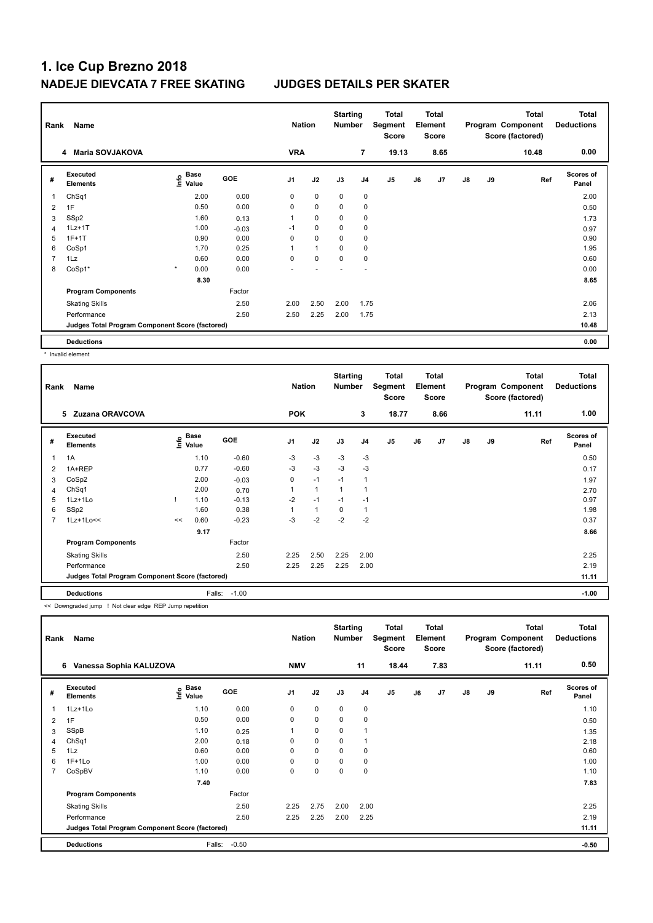| Rank           | Name                                            |                                  |         | <b>Nation</b>  |              | <b>Starting</b><br><b>Number</b> |                | Total<br>Segment<br><b>Score</b> |    | <b>Total</b><br>Element<br>Score |               |    | <b>Total</b><br>Program Component<br>Score (factored) | <b>Total</b><br><b>Deductions</b> |
|----------------|-------------------------------------------------|----------------------------------|---------|----------------|--------------|----------------------------------|----------------|----------------------------------|----|----------------------------------|---------------|----|-------------------------------------------------------|-----------------------------------|
|                | <b>Maria SOVJAKOVA</b><br>4                     |                                  |         | <b>VRA</b>     |              |                                  | 7              | 19.13                            |    | 8.65                             |               |    | 10.48                                                 | 0.00                              |
| #              | Executed<br><b>Elements</b>                     | <b>Base</b><br>e Base<br>⊆ Value | GOE     | J <sub>1</sub> | J2           | J3                               | J <sub>4</sub> | J <sub>5</sub>                   | J6 | J7                               | $\mathsf{J}8$ | J9 | Ref                                                   | Scores of<br>Panel                |
| 1              | Ch <sub>Sq1</sub>                               | 2.00                             | 0.00    | 0              | $\mathbf 0$  | 0                                | 0              |                                  |    |                                  |               |    |                                                       | 2.00                              |
| 2              | 1F                                              | 0.50                             | 0.00    | 0              | 0            | 0                                | 0              |                                  |    |                                  |               |    |                                                       | 0.50                              |
| 3              | SSp2                                            | 1.60                             | 0.13    | 1              | $\mathbf 0$  | $\mathbf 0$                      | $\mathbf 0$    |                                  |    |                                  |               |    |                                                       | 1.73                              |
| $\overline{4}$ | $1Lz+1T$                                        | 1.00                             | $-0.03$ | $-1$           | $\pmb{0}$    | $\mathbf 0$                      | $\mathbf 0$    |                                  |    |                                  |               |    |                                                       | 0.97                              |
| 5              | $1F+1T$                                         | 0.90                             | 0.00    | 0              | $\pmb{0}$    | 0                                | 0              |                                  |    |                                  |               |    |                                                       | 0.90                              |
| 6              | CoSp1                                           | 1.70                             | 0.25    | 1              | $\mathbf{1}$ | $\pmb{0}$                        | $\mathbf 0$    |                                  |    |                                  |               |    |                                                       | 1.95                              |
| $\overline{7}$ | 1Lz                                             | 0.60                             | 0.00    | 0              | $\pmb{0}$    | $\pmb{0}$                        | $\mathbf 0$    |                                  |    |                                  |               |    |                                                       | 0.60                              |
| 8              | CoSp1*                                          | $\star$<br>0.00                  | 0.00    |                |              |                                  |                |                                  |    |                                  |               |    |                                                       | 0.00                              |
|                |                                                 | 8.30                             |         |                |              |                                  |                |                                  |    |                                  |               |    |                                                       | 8.65                              |
|                | <b>Program Components</b>                       |                                  | Factor  |                |              |                                  |                |                                  |    |                                  |               |    |                                                       |                                   |
|                | <b>Skating Skills</b>                           |                                  | 2.50    | 2.00           | 2.50         | 2.00                             | 1.75           |                                  |    |                                  |               |    |                                                       | 2.06                              |
|                | Performance                                     |                                  | 2.50    | 2.50           | 2.25         | 2.00                             | 1.75           |                                  |    |                                  |               |    |                                                       | 2.13                              |
|                | Judges Total Program Component Score (factored) |                                  |         |                |              |                                  |                |                                  |    |                                  |               |    |                                                       | 10.48                             |
|                | <b>Deductions</b>                               |                                  |         |                |              |                                  |                |                                  |    |                                  |               |    |                                                       | 0.00                              |

\* Invalid element

 $\mathbf{I}$ 

| Rank | Name                                            |    |                                                  |            | <b>Nation</b>  |              | <b>Starting</b><br><b>Number</b> |                | <b>Total</b><br>Segment<br><b>Score</b> |    | Total<br>Element<br><b>Score</b> |    |    | <b>Total</b><br>Program Component<br>Score (factored) | <b>Total</b><br><b>Deductions</b> |
|------|-------------------------------------------------|----|--------------------------------------------------|------------|----------------|--------------|----------------------------------|----------------|-----------------------------------------|----|----------------------------------|----|----|-------------------------------------------------------|-----------------------------------|
|      | 5 Zuzana ORAVCOVA                               |    |                                                  |            | <b>POK</b>     |              |                                  | 3              | 18.77                                   |    | 8.66                             |    |    | 11.11                                                 | 1.00                              |
| #    | <b>Executed</b><br><b>Elements</b>              |    | $\mathbf{e}$ Base<br>$\mathbf{e}$ Value<br>Value | <b>GOE</b> | J <sub>1</sub> | J2           | J3                               | J <sub>4</sub> | J <sub>5</sub>                          | J6 | J7                               | J8 | J9 | Ref                                                   | <b>Scores of</b><br>Panel         |
| 1    | 1A                                              |    | 1.10                                             | $-0.60$    | $-3$           | $-3$         | $-3$                             | $-3$           |                                         |    |                                  |    |    |                                                       | 0.50                              |
| 2    | 1A+REP                                          |    | 0.77                                             | $-0.60$    | $-3$           | $-3$         | $-3$                             | $-3$           |                                         |    |                                  |    |    |                                                       | 0.17                              |
| 3    | CoSp2                                           |    | 2.00                                             | $-0.03$    | 0              | $-1$         | $-1$                             | $\mathbf{1}$   |                                         |    |                                  |    |    |                                                       | 1.97                              |
| 4    | Ch <sub>Sq1</sub>                               |    | 2.00                                             | 0.70       | 1              | $\mathbf{1}$ | $\mathbf{1}$                     | 1              |                                         |    |                                  |    |    |                                                       | 2.70                              |
| 5    | $1Lz+1Lo$                                       |    | 1.10                                             | $-0.13$    | $-2$           | $-1$         | $-1$                             | $-1$           |                                         |    |                                  |    |    |                                                       | 0.97                              |
| 6    | SS <sub>p2</sub>                                |    | 1.60                                             | 0.38       | 1              | $\mathbf{1}$ | $\mathbf 0$                      | $\mathbf{1}$   |                                         |    |                                  |    |    |                                                       | 1.98                              |
| 7    | $1Lz+1Lo<<$                                     | << | 0.60                                             | $-0.23$    | -3             | $-2$         | $-2$                             | $-2$           |                                         |    |                                  |    |    |                                                       | 0.37                              |
|      |                                                 |    | 9.17                                             |            |                |              |                                  |                |                                         |    |                                  |    |    |                                                       | 8.66                              |
|      | <b>Program Components</b>                       |    |                                                  | Factor     |                |              |                                  |                |                                         |    |                                  |    |    |                                                       |                                   |
|      | <b>Skating Skills</b>                           |    |                                                  | 2.50       | 2.25           | 2.50         | 2.25                             | 2.00           |                                         |    |                                  |    |    |                                                       | 2.25                              |
|      | Performance                                     |    |                                                  | 2.50       | 2.25           | 2.25         | 2.25                             | 2.00           |                                         |    |                                  |    |    |                                                       | 2.19                              |
|      | Judges Total Program Component Score (factored) |    |                                                  |            |                |              |                                  |                |                                         |    |                                  |    |    |                                                       | 11.11                             |
|      | <b>Deductions</b>                               |    | Falls:                                           | $-1.00$    |                |              |                                  |                |                                         |    |                                  |    |    |                                                       | $-1.00$                           |

<< Downgraded jump ! Not clear edge REP Jump repetition

| Rank | Name                                            |                     |            | <b>Nation</b>  |             | <b>Starting</b><br><b>Number</b> |                | Total<br>Segment<br><b>Score</b> |    | Total<br>Element<br><b>Score</b> |               |    | <b>Total</b><br>Program Component<br>Score (factored) | <b>Total</b><br><b>Deductions</b> |
|------|-------------------------------------------------|---------------------|------------|----------------|-------------|----------------------------------|----------------|----------------------------------|----|----------------------------------|---------------|----|-------------------------------------------------------|-----------------------------------|
|      | Vanessa Sophia KALUZOVA<br>6                    |                     |            | <b>NMV</b>     |             |                                  | 11             | 18.44                            |    | 7.83                             |               |    | 11.11                                                 | 0.50                              |
| #    | <b>Executed</b><br><b>Elements</b>              | Base<br>۴o<br>Value | <b>GOE</b> | J <sub>1</sub> | J2          | J3                               | J <sub>4</sub> | J5                               | J6 | J7                               | $\mathsf{J}8$ | J9 | Ref                                                   | <b>Scores of</b><br>Panel         |
| 1    | $1Lz+1Lo$                                       | 1.10                | 0.00       | 0              | $\mathbf 0$ | $\mathbf 0$                      | $\mathbf 0$    |                                  |    |                                  |               |    |                                                       | 1.10                              |
| 2    | 1F                                              | 0.50                | 0.00       | 0              | $\mathbf 0$ | $\mathbf 0$                      | 0              |                                  |    |                                  |               |    |                                                       | 0.50                              |
| 3    | SSpB                                            | 1.10                | 0.25       |                | 0           | $\mathbf 0$                      | $\overline{1}$ |                                  |    |                                  |               |    |                                                       | 1.35                              |
| 4    | ChSq1                                           | 2.00                | 0.18       | 0              | $\pmb{0}$   | 0                                | $\mathbf{1}$   |                                  |    |                                  |               |    |                                                       | 2.18                              |
| 5    | 1Lz                                             | 0.60                | 0.00       | 0              | $\mathbf 0$ | $\mathbf 0$                      | 0              |                                  |    |                                  |               |    |                                                       | 0.60                              |
| 6    | $1F+1Lo$                                        | 1.00                | 0.00       | 0              | $\mathbf 0$ | $\mathbf 0$                      | 0              |                                  |    |                                  |               |    |                                                       | 1.00                              |
| 7    | CoSpBV                                          | 1.10                | 0.00       | 0              | $\pmb{0}$   | 0                                | 0              |                                  |    |                                  |               |    |                                                       | 1.10                              |
|      |                                                 | 7.40                |            |                |             |                                  |                |                                  |    |                                  |               |    |                                                       | 7.83                              |
|      | <b>Program Components</b>                       |                     | Factor     |                |             |                                  |                |                                  |    |                                  |               |    |                                                       |                                   |
|      | <b>Skating Skills</b>                           |                     | 2.50       | 2.25           | 2.75        | 2.00                             | 2.00           |                                  |    |                                  |               |    |                                                       | 2.25                              |
|      | Performance                                     |                     | 2.50       | 2.25           | 2.25        | 2.00                             | 2.25           |                                  |    |                                  |               |    |                                                       | 2.19                              |
|      | Judges Total Program Component Score (factored) |                     |            |                |             |                                  |                |                                  |    |                                  |               |    |                                                       | 11.11                             |
|      | <b>Deductions</b>                               | Falls:              | $-0.50$    |                |             |                                  |                |                                  |    |                                  |               |    |                                                       | $-0.50$                           |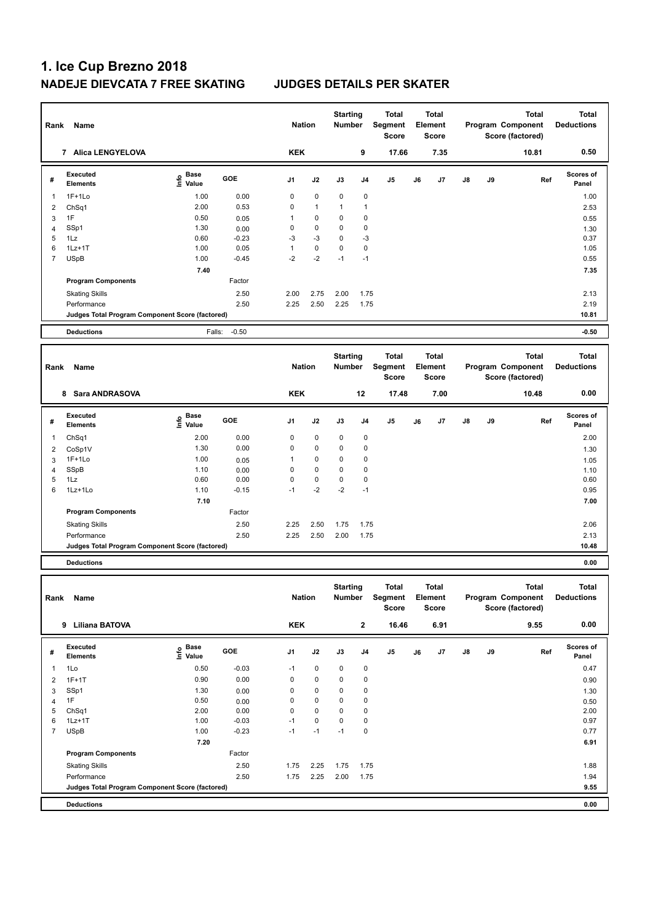| Rank           | Name                                            |                                           |              | <b>Nation</b>              |                | <b>Starting</b><br>Number        |                         | <b>Total</b><br>Segment<br><b>Score</b> |    | <b>Total</b><br>Element<br>Score |    |    | <b>Total</b><br>Program Component<br>Score (factored) | <b>Total</b><br><b>Deductions</b> |
|----------------|-------------------------------------------------|-------------------------------------------|--------------|----------------------------|----------------|----------------------------------|-------------------------|-----------------------------------------|----|----------------------------------|----|----|-------------------------------------------------------|-----------------------------------|
|                | 7 Alica LENGYELOVA                              |                                           |              | <b>KEK</b>                 |                |                                  | 9                       | 17.66                                   |    | 7.35                             |    |    | 10.81                                                 | 0.50                              |
| #              | Executed<br><b>Elements</b>                     | $\frac{e}{E}$ Base<br>$\frac{E}{E}$ Value | GOE          | J1                         | J2             | J3                               | J4                      | J5                                      | J6 | J7                               | J8 | J9 | Ref                                                   | <b>Scores of</b><br>Panel         |
| 1              | $1F+1Lo$                                        | 1.00                                      | 0.00         | 0                          | $\pmb{0}$      | 0                                | 0                       |                                         |    |                                  |    |    |                                                       | 1.00                              |
| 2              | Ch <sub>Sq1</sub>                               | 2.00                                      | 0.53         | $\mathbf 0$                | $\mathbf{1}$   | $\mathbf{1}$                     | 1                       |                                         |    |                                  |    |    |                                                       | 2.53                              |
| 3              | 1F                                              | 0.50                                      | 0.05         | $\mathbf{1}$               | $\pmb{0}$      | 0                                | 0                       |                                         |    |                                  |    |    |                                                       | 0.55                              |
| 4              | SSp1                                            | 1.30                                      | 0.00         | $\mathbf 0$                | $\pmb{0}$      | 0                                | 0                       |                                         |    |                                  |    |    |                                                       | 1.30                              |
| 5              | 1Lz                                             | 0.60                                      | $-0.23$      | -3                         | $-3$           | $\mathbf 0$                      | $-3$                    |                                         |    |                                  |    |    |                                                       | 0.37                              |
| 6              | $1Lz+1T$                                        | 1.00                                      | 0.05         | $\mathbf{1}$               | $\mathbf 0$    | $\mathbf 0$                      | $\pmb{0}$               |                                         |    |                                  |    |    |                                                       | 1.05                              |
| $\overline{7}$ | <b>USpB</b>                                     | 1.00                                      | $-0.45$      | $-2$                       | $-2$           | $-1$                             | $-1$                    |                                         |    |                                  |    |    |                                                       | 0.55                              |
|                |                                                 | 7.40                                      |              |                            |                |                                  |                         |                                         |    |                                  |    |    |                                                       | 7.35                              |
|                | <b>Program Components</b>                       |                                           | Factor       |                            |                |                                  |                         |                                         |    |                                  |    |    |                                                       |                                   |
|                | <b>Skating Skills</b>                           |                                           | 2.50         | 2.00                       | 2.75           | 2.00                             | 1.75                    |                                         |    |                                  |    |    |                                                       | 2.13                              |
|                | Performance                                     |                                           | 2.50         | 2.25                       | 2.50           | 2.25                             | 1.75                    |                                         |    |                                  |    |    |                                                       | 2.19                              |
|                | Judges Total Program Component Score (factored) |                                           |              |                            |                |                                  |                         |                                         |    |                                  |    |    |                                                       | 10.81                             |
|                | <b>Deductions</b>                               | Falls:                                    | $-0.50$      |                            |                |                                  |                         |                                         |    |                                  |    |    |                                                       | $-0.50$                           |
| Rank           | Name                                            |                                           |              | <b>Nation</b>              |                | <b>Starting</b><br><b>Number</b> |                         | <b>Total</b><br>Segment<br><b>Score</b> |    | <b>Total</b><br>Element<br>Score |    |    | <b>Total</b><br>Program Component<br>Score (factored) | <b>Total</b><br><b>Deductions</b> |
|                | 8 Sara ANDRASOVA                                |                                           |              | <b>KEK</b>                 |                |                                  | 12                      | 17.48                                   |    | 7.00                             |    |    | 10.48                                                 | 0.00                              |
|                | Executed                                        |                                           |              |                            |                |                                  |                         |                                         |    |                                  |    |    |                                                       | <b>Scores of</b>                  |
| #              | <b>Elements</b>                                 | e Base<br>⊆ Value                         | GOE          | J1                         | J2             | J3                               | J4                      | J5                                      | J6 | J7                               | J8 | J9 | Ref                                                   | Panel                             |
| $\mathbf{1}$   | Ch <sub>Sq1</sub>                               | 2.00                                      | 0.00         | $\mathbf 0$                | $\mathbf 0$    | 0                                | 0                       |                                         |    |                                  |    |    |                                                       | 2.00                              |
| 2              | CoSp1V                                          | 1.30                                      | 0.00         | $\mathbf 0$                | $\pmb{0}$      | $\mathbf 0$                      | 0                       |                                         |    |                                  |    |    |                                                       | 1.30                              |
| 3              | $1F+1Lo$                                        | 1.00                                      | 0.05         | $\mathbf{1}$               | $\mathbf 0$    | $\mathbf 0$                      | 0                       |                                         |    |                                  |    |    |                                                       | 1.05                              |
| 4              | SSpB                                            | 1.10                                      | 0.00         | $\mathbf 0$                | $\mathbf 0$    | $\mathbf 0$                      | $\mathbf 0$             |                                         |    |                                  |    |    |                                                       | 1.10                              |
| 5              | 1Lz                                             | 0.60                                      | 0.00         | $\mathbf 0$                | $\pmb{0}$      | $\pmb{0}$                        | 0                       |                                         |    |                                  |    |    |                                                       | 0.60                              |
| 6              | 1Lz+1Lo                                         | 1.10                                      | $-0.15$      | $-1$                       | $-2$           | $-2$                             | $-1$                    |                                         |    |                                  |    |    |                                                       | 0.95                              |
|                |                                                 | 7.10                                      |              |                            |                |                                  |                         |                                         |    |                                  |    |    |                                                       | 7.00                              |
|                | <b>Program Components</b>                       |                                           | Factor       |                            |                |                                  |                         |                                         |    |                                  |    |    |                                                       |                                   |
|                | <b>Skating Skills</b>                           |                                           | 2.50         | 2.25                       | 2.50           | 1.75                             | 1.75                    |                                         |    |                                  |    |    |                                                       | 2.06                              |
|                | Performance                                     |                                           | 2.50         | 2.25                       | 2.50           | 2.00                             | 1.75                    |                                         |    |                                  |    |    |                                                       | 2.13                              |
|                | Judges Total Program Component Score (factored) |                                           |              |                            |                |                                  |                         |                                         |    |                                  |    |    |                                                       | 10.48                             |
|                | <b>Deductions</b>                               |                                           |              |                            |                |                                  |                         |                                         |    |                                  |    |    |                                                       | 0.00                              |
|                | Rank Name                                       |                                           |              | <b>Nation</b>              |                | <b>Starting</b><br>Number        |                         | Total<br>Segment                        |    | <b>Total</b><br>Element          |    |    | <b>Total</b><br>Program Component                     | <b>Total</b><br><b>Deductions</b> |
|                |                                                 |                                           |              |                            |                |                                  |                         | Score                                   |    | Score                            |    |    | Score (factored)                                      |                                   |
|                | 9 Liliana BATOVA                                |                                           |              | <b>KEK</b>                 |                |                                  | $\overline{\mathbf{2}}$ | 16.46                                   |    | 6.91                             |    |    | 9.55                                                  | 0.00                              |
| #              | Executed                                        | $\frac{e}{E}$ Base<br>$\frac{e}{E}$ Value | GOE          | J1                         | J2             | J3                               | J4                      | J5                                      | J6 | J7                               | J8 | J9 | Ref                                                   | Scores of                         |
|                | Elements                                        |                                           |              |                            |                |                                  |                         |                                         |    |                                  |    |    |                                                       | Panel                             |
| 1              | 1Lo                                             | 0.50                                      | $-0.03$      | $-1$                       | 0              | 0                                | 0                       |                                         |    |                                  |    |    |                                                       | 0.47                              |
| 2              | $1F+1T$                                         | 0.90                                      | 0.00         | $\pmb{0}$                  | 0              | 0                                | 0                       |                                         |    |                                  |    |    |                                                       | 0.90                              |
| 3              | SSp1                                            | 1.30                                      | 0.00         | $\mathbf 0$                | 0              | $\pmb{0}$                        | 0                       |                                         |    |                                  |    |    |                                                       | 1.30                              |
| 4<br>5         | 1F<br>Ch <sub>Sq1</sub>                         | 0.50<br>2.00                              | 0.00<br>0.00 | $\mathbf 0$<br>$\mathbf 0$ | $\pmb{0}$<br>0 | 0<br>0                           | 0<br>0                  |                                         |    |                                  |    |    |                                                       | 0.50<br>2.00                      |
| 6              | $1Lz+1T$                                        | 1.00                                      | $-0.03$      | $-1$                       | 0              | $\pmb{0}$                        | 0                       |                                         |    |                                  |    |    |                                                       | 0.97                              |
| $\overline{7}$ | <b>USpB</b>                                     | 1.00                                      | $-0.23$      | $-1$                       | $-1$           | $-1$                             | 0                       |                                         |    |                                  |    |    |                                                       | 0.77                              |
|                |                                                 | 7.20                                      |              |                            |                |                                  |                         |                                         |    |                                  |    |    |                                                       | 6.91                              |
|                | <b>Program Components</b>                       |                                           | Factor       |                            |                |                                  |                         |                                         |    |                                  |    |    |                                                       |                                   |
|                | <b>Skating Skills</b>                           |                                           | 2.50         | 1.75                       | 2.25           | 1.75                             | 1.75                    |                                         |    |                                  |    |    |                                                       | 1.88                              |
|                | Performance                                     |                                           | 2.50         | 1.75                       | 2.25           | 2.00                             | 1.75                    |                                         |    |                                  |    |    |                                                       | 1.94                              |
|                | Judges Total Program Component Score (factored) |                                           |              |                            |                |                                  |                         |                                         |    |                                  |    |    |                                                       | 9.55                              |
|                | <b>Deductions</b>                               |                                           |              |                            |                |                                  |                         |                                         |    |                                  |    |    |                                                       | 0.00                              |
|                |                                                 |                                           |              |                            |                |                                  |                         |                                         |    |                                  |    |    |                                                       |                                   |